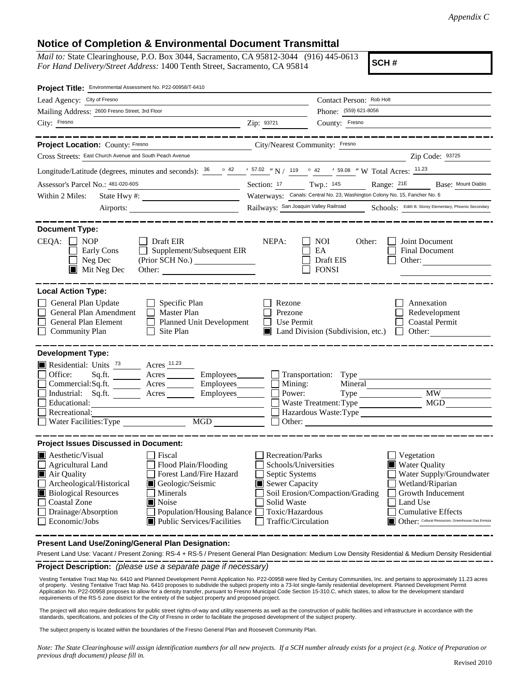## **Notice of Completion & Environmental Document Transmittal**

*Mail to:* State Clearinghouse, P.O. Box 3044, Sacramento, CA 95812-3044 (916) 445-0613 *For Hand Delivery/Street Address:* 1400 Tenth Street, Sacramento, CA 95814

**SCH #**

| Project Title: Environmental Assessment No. P22-00958/T-6410                                                                                                                                                                                                                                                                                                                      |                                                                                                                                                                                                                                                                                                                                                                                          |
|-----------------------------------------------------------------------------------------------------------------------------------------------------------------------------------------------------------------------------------------------------------------------------------------------------------------------------------------------------------------------------------|------------------------------------------------------------------------------------------------------------------------------------------------------------------------------------------------------------------------------------------------------------------------------------------------------------------------------------------------------------------------------------------|
| Lead Agency: City of Fresno                                                                                                                                                                                                                                                                                                                                                       | Contact Person: Rob Holt                                                                                                                                                                                                                                                                                                                                                                 |
| Mailing Address: 2600 Fresno Street, 3rd Floor                                                                                                                                                                                                                                                                                                                                    | Phone: (559) 621-8056                                                                                                                                                                                                                                                                                                                                                                    |
| City: Fresno                                                                                                                                                                                                                                                                                                                                                                      | Zip: 93721<br>County: Fresno                                                                                                                                                                                                                                                                                                                                                             |
| ________________________                                                                                                                                                                                                                                                                                                                                                          | ____________________                                                                                                                                                                                                                                                                                                                                                                     |
| Project Location: County: Fresno                                                                                                                                                                                                                                                                                                                                                  | City/Nearest Community: Fresno                                                                                                                                                                                                                                                                                                                                                           |
| Cross Streets: East Church Avenue and South Peach Avenue                                                                                                                                                                                                                                                                                                                          | Zip Code: 93725                                                                                                                                                                                                                                                                                                                                                                          |
|                                                                                                                                                                                                                                                                                                                                                                                   | Longitude/Latitude (degrees, minutes and seconds): $\frac{36}{2}$ $\frac{42}{2}$ $\frac{157.02}{2}$ N / 119 $\degree$ 42 ' 59.08 " W Total Acres: $\frac{11.23}{2}$                                                                                                                                                                                                                      |
| Assessor's Parcel No.: 481-020-60S<br><u> 1990 - Johann Barbara, martxa</u>                                                                                                                                                                                                                                                                                                       | Section: 17 Twp.: 14S Range: 21E Base: Mount Diablo                                                                                                                                                                                                                                                                                                                                      |
| Within 2 Miles:                                                                                                                                                                                                                                                                                                                                                                   | Waterways: Canals: Central No. 23, Washington Colony No. 15, Fancher No. 6                                                                                                                                                                                                                                                                                                               |
|                                                                                                                                                                                                                                                                                                                                                                                   | Railways: San Joaquin Valley Railroad Schools: Edith B. Storey Elementary, Phoenix Secondary                                                                                                                                                                                                                                                                                             |
|                                                                                                                                                                                                                                                                                                                                                                                   |                                                                                                                                                                                                                                                                                                                                                                                          |
| <b>Document Type:</b><br>$CEQA: \Box NOP$<br>$\Box$ Draft EIR<br>$\Box$ Supplement/Subsequent EIR<br>Early Cons<br>Neg Dec<br>$\blacksquare$ Mit Neg Dec<br>Other:                                                                                                                                                                                                                | Joint Document<br>NEPA:<br><b>NOI</b><br>Other:<br>EA<br><b>Final Document</b><br>Draft EIS<br>Other:<br><b>FONSI</b>                                                                                                                                                                                                                                                                    |
| <b>Local Action Type:</b>                                                                                                                                                                                                                                                                                                                                                         |                                                                                                                                                                                                                                                                                                                                                                                          |
| General Plan Update<br>$\Box$ Specific Plan<br>General Plan Amendment □ Master Plan<br>$\Box$<br>General Plan Element<br>Planned Unit Development<br>$\Box$ Community Plan<br>$\Box$ Site Plan                                                                                                                                                                                    | Rezone<br>Annexation<br>Prezone<br>Redevelopment<br>$\Box$ Use Permit<br><b>Coastal Permit</b><br>Land Division (Subdivision, etc.)<br>Other:                                                                                                                                                                                                                                            |
| <b>Development Type:</b>                                                                                                                                                                                                                                                                                                                                                          |                                                                                                                                                                                                                                                                                                                                                                                          |
| Residential: Units <sup>73</sup> Acres <sup>11.23</sup><br>Office:<br>$Sq.fit.$ Acres<br>Commercial:Sq.ft. _________ Acres __________ Employees________<br>Industrial: Sq.ft. _______ Acres ______<br>Employees_______<br>$\Box$<br>Educational:<br><u> 1989 - Johann Barn, amerikansk politiker (</u><br>Recreational:                                                           | Employees_________ Transportation: Type<br>Mining:<br>Mineral<br><b>MW</b><br>Power:<br>MGD<br>Waste Treatment: Type<br>Hazardous Waste:Type                                                                                                                                                                                                                                             |
| <b>Project Issues Discussed in Document:</b>                                                                                                                                                                                                                                                                                                                                      |                                                                                                                                                                                                                                                                                                                                                                                          |
| $\blacksquare$ Aesthetic/Visual<br>  Fiscal<br>$\Box$ Agricultural Land<br>Flood Plain/Flooding<br>Forest Land/Fire Hazard<br>Air Quality<br>Archeological/Historical<br>Geologic/Seismic<br><b>Biological Resources</b><br>Minerals<br><b>Coastal Zone</b><br>Noise<br>Drainage/Absorption<br>Population/Housing Balance<br>$\Box$ Economic/Jobs<br>■ Public Services/Facilities | Recreation/Parks<br>Vegetation<br>Schools/Universities<br><b>Water Quality</b><br>Water Supply/Groundwater<br>Septic Systems<br>Sewer Capacity<br>Wetland/Riparian<br>Soil Erosion/Compaction/Grading<br>Growth Inducement<br>Solid Waste<br>Land Use<br>Toxic/Hazardous<br><b>Cumulative Effects</b><br>Other: Cultural Resources, Greenhouse Gas Emissic<br>Traffic/Circulation<br>I I |

**Present Land Use/Zoning/General Plan Designation:**

**Project Description:** *(please use a separate page if necessary)* Present Land Use: Vacant / Present Zoning: RS-4 + RS-5 / Present General Plan Designation: Medium Low Density Residential & Medium Density Residential

 Vesting Tentative Tract Map No. 6410 and Planned Development Permit Application No. P22-00958 were filed by Century Communities, Inc. and pertains to approximately 11.23 acres of property. Vesting Tentative Tract Map No. 6410 proposes to subdivide the subject property into a 73-lot single-family residential development. Planned Development Permit Application No. P22-00958 proposes to allow for a density transfer, pursuant to Fresno Municipal Code Section 15-310.C, which states, to allow for the development standard<br>requirements of the RS-5 zone district for the ent

The project will also require dedications for public street rights-of-way and utility easements as well as the construction of public facilities and infrastructure in accordance with the standards, specifications, and policies of the City of Fresno in order to facilitate the proposed development of the subject property.

The subject property is located within the boundaries of the Fresno General Plan and Roosevelt Community Plan.

*Note: The State Clearinghouse will assign identification numbers for all new projects. If a SCH number already exists for a project (e.g. Notice of Preparation or previous draft document) please fill in.*